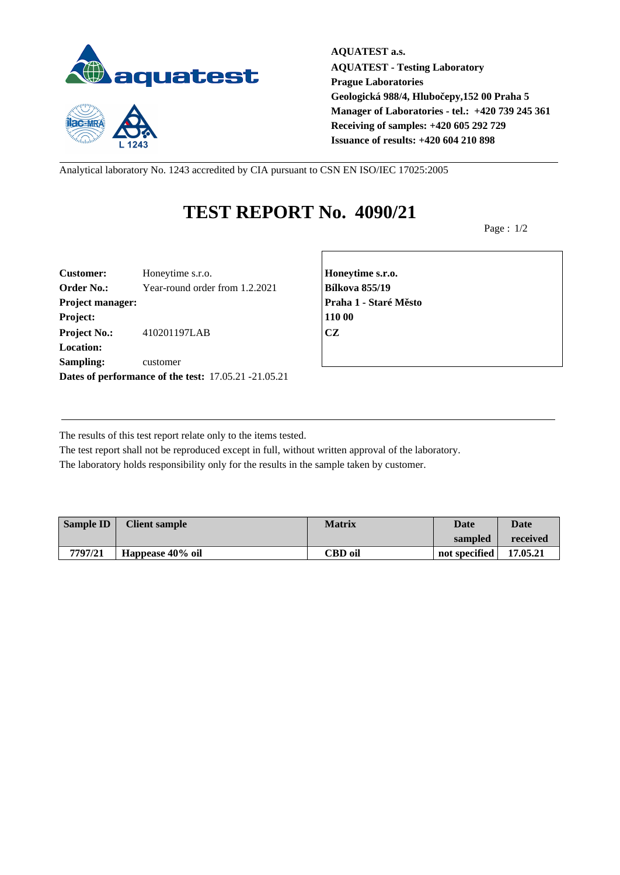



**AQUATEST a.s. AQUATEST - Testing Laboratory Prague Laboratories Geologická 988/4, Hlubočepy,152 00 Praha 5 Manager of Laboratories - tel.: +420 739 245 361 Receiving of samples: +420 605 292 729 Issuance of results: +420 604 210 898**

Analytical laboratory No. 1243 accredited by CIA pursuant to CSN EN ISO/IEC 17025:2005

## **TEST REPORT No. 4090/21**

Page : 1/2

| <b>Customer:</b>    | Honeytime s.r.o.                                     | Honey         |
|---------------------|------------------------------------------------------|---------------|
| <b>Order No.:</b>   | Year-round order from 1.2.2021                       | <b>Bílkov</b> |
| Project manager:    |                                                      | Praha         |
| Project:            |                                                      | 110 00        |
| <b>Project No.:</b> | 410201197LAB                                         | <b>CZ</b>     |
| <b>Location:</b>    |                                                      |               |
| Sampling:           | customer                                             |               |
|                     | Dates of performance of the test: 17.05.21 -21.05.21 |               |

**Customer:** Honeytime s.r.o. **Honeytime s.r.o. Order No.:** Year-round order from 1.2.2021 **Bílkova 855/19 Project manager: Praha 1 - Staré Město**

The results of this test report relate only to the items tested.

The test report shall not be reproduced except in full, without written approval of the laboratory. The laboratory holds responsibility only for the results in the sample taken by customer.

| <b>Sample ID</b> | <b>Client sample</b> | <b>Matrix</b>  | Date          | <b>Date</b> |
|------------------|----------------------|----------------|---------------|-------------|
|                  |                      |                | sampled       | received    |
| 7797/21          | Happease 40% oil     | <b>CBD</b> oil | not specified | 17.05.21    |